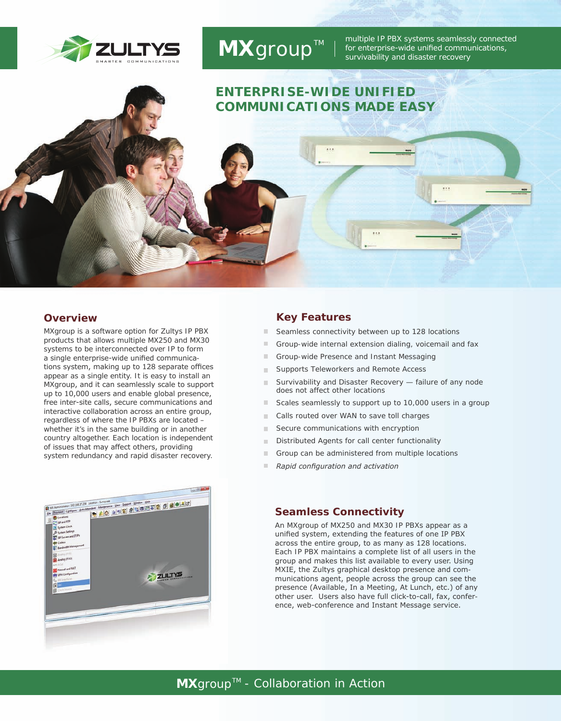

# *MXgroup™*

multiple IP PBX systems seamlessly connected for enterprise-wide unified communications, survivability and disaster recovery

## **ENTERPRISE-WIDE UNIFIED COMMUNICATIONS MADE EASY**

#### **Overview**

*MXgroup* is a software option for Zultys IP PBX products that allows multiple MX250 and MX30 systems to be interconnected over IP to form a single enterprise-wide unified communications system, making up to 128 separate offices appear as a single entity. It is easy to install an *MXgroup*, and it can seamlessly scale to support up to 10,000 users and enable global presence, free inter-site calls, secure communications and interactive collaboration across an entire group, regardless of where the IP PBXs are located – whether it's in the same building or in another country altogether. Each location is independent of issues that may affect others, providing system redundancy and rapid disaster recovery.



#### **Key Features**

- *Seamless connectivity between up to 128 locations*   $\blacksquare$
- $\blacksquare$ *Group-wide internal extension dialing, voicemail and fax*
- *Group-wide Presence and Instant Messaging*  m.
- *Supports Teleworkers and Remote Access* m.
- m. *Survivability and Disaster Recovery — failure of any node does not affect other locations*
- *Scales seamlessly to support up to 10,000 users in a group*  $\blacksquare$
- $\mathbb{R}^d$ *Calls routed over WAN to save toll charges*
- *Secure communications with encryption*  m.
- *Distributed Agents for call center functionality* m.
- $\blacksquare$ *Group can be administered from multiple locations*
- m. *Rapid configuration and activation*

#### **Seamless Connectivity**

An *MXgroup* of MX250 and MX30 IP PBXs appear as a unified system, extending the features of one IP PBX across the entire group, to as many as 128 locations. Each IP PBX maintains a complete list of all users in the group and makes this list available to every user. Using MXIE, the Zultys graphical desktop presence and communications agent, people across the group can see the presence (Available, In a Meeting, At Lunch, etc.) of any other user. Users also have full click-to-call, fax, conference, web-conference and Instant Message service.